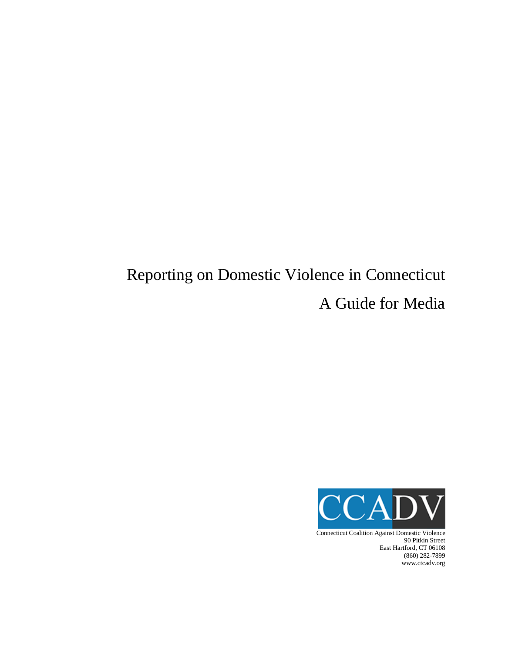# Reporting on Domestic Violence in Connecticut A Guide for Media



Connecticut Coalition Against Domestic Violence 90 Pitkin Street East Hartford, CT 06108 (860) 282-7899 www.ctcadv.org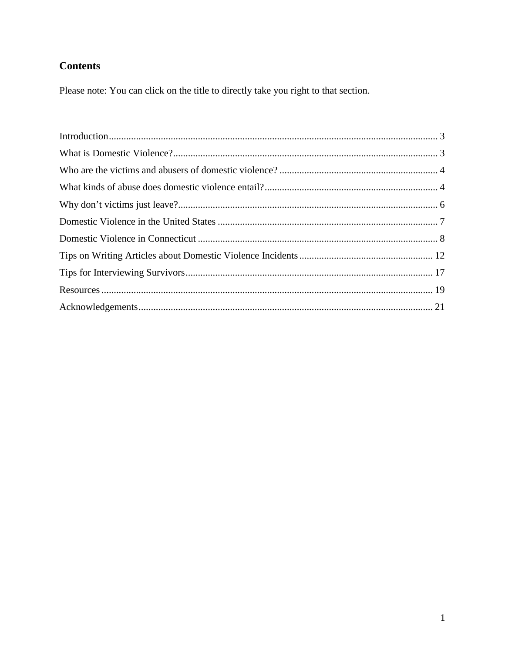## **Contents**

Please note: You can click on the title to directly take you right to that section.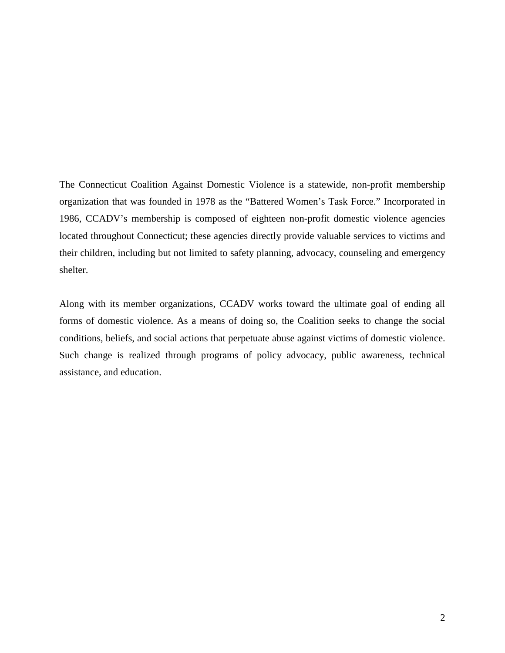The Connecticut Coalition Against Domestic Violence is a statewide, non-profit membership organization that was founded in 1978 as the "Battered Women's Task Force." Incorporated in 1986, CCADV's membership is composed of eighteen non-profit domestic violence agencies located throughout Connecticut; these agencies directly provide valuable services to victims and their children, including but not limited to safety planning, advocacy, counseling and emergency shelter.

Along with its member organizations, CCADV works toward the ultimate goal of ending all forms of domestic violence. As a means of doing so, the Coalition seeks to change the social conditions, beliefs, and social actions that perpetuate abuse against victims of domestic violence. Such change is realized through programs of policy advocacy, public awareness, technical assistance, and education.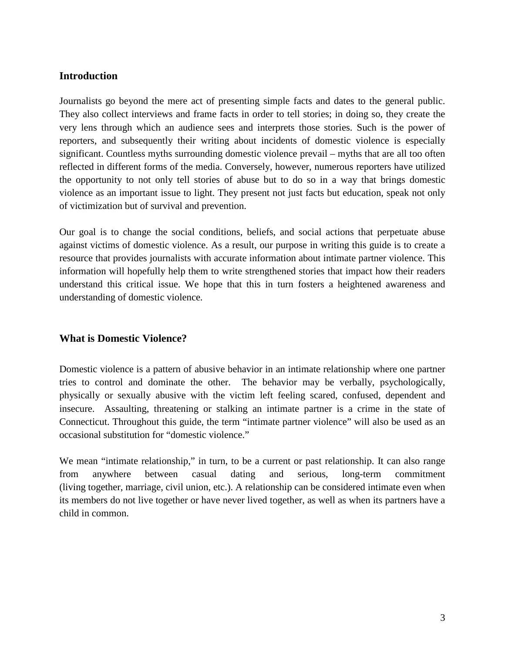## <span id="page-3-0"></span>**Introduction**

Journalists go beyond the mere act of presenting simple facts and dates to the general public. They also collect interviews and frame facts in order to tell stories; in doing so, they create the very lens through which an audience sees and interprets those stories. Such is the power of reporters, and subsequently their writing about incidents of domestic violence is especially significant. Countless myths surrounding domestic violence prevail – myths that are all too often reflected in different forms of the media. Conversely, however, numerous reporters have utilized the opportunity to not only tell stories of abuse but to do so in a way that brings domestic violence as an important issue to light. They present not just facts but education, speak not only of victimization but of survival and prevention.

Our goal is to change the social conditions, beliefs, and social actions that perpetuate abuse against victims of domestic violence. As a result, our purpose in writing this guide is to create a resource that provides journalists with accurate information about intimate partner violence. This information will hopefully help them to write strengthened stories that impact how their readers understand this critical issue. We hope that this in turn fosters a heightened awareness and understanding of domestic violence.

## <span id="page-3-1"></span>**What is Domestic Violence?**

Domestic violence is a pattern of abusive behavior in an intimate relationship where one partner tries to control and dominate the other. The behavior may be verbally, psychologically, physically or sexually abusive with the victim left feeling scared, confused, dependent and insecure. Assaulting, threatening or stalking an intimate partner is a crime in the state of Connecticut. Throughout this guide, the term "intimate partner violence" will also be used as an occasional substitution for "domestic violence."

We mean "intimate relationship," in turn, to be a current or past relationship. It can also range from anywhere between casual dating and serious, long-term commitment (living together, marriage, civil union, etc.). A relationship can be considered intimate even when its members do not live together or have never lived together, as well as when its partners have a child in common.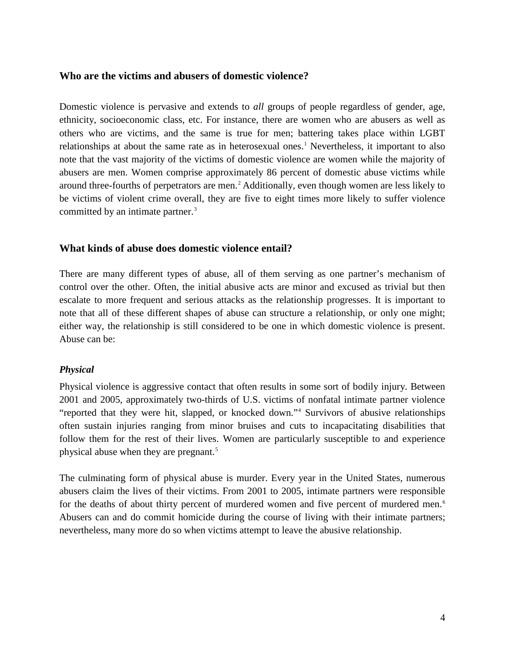## <span id="page-4-0"></span>**Who are the victims and abusers of domestic violence?**

Domestic violence is pervasive and extends to *all* groups of people regardless of gender, age, ethnicity, socioeconomic class, etc. For instance, there are women who are abusers as well as others who are victims, and the same is true for men; battering takes place within LGBT relationships at about the same rate as in heterosexual ones. [1](#page-21-1) Nevertheless, it important to also note that the vast majority of the victims of domestic violence are women while the majority of abusers are men. Women comprise approximately 86 percent of domestic abuse victims while around three-fourths of perpetrators are men. [2](#page-22-0) Additionally, even though women are less likely to be victims of violent crime overall, they are five to eight times more likely to suffer violence committed by an intimate partner. [3](#page-22-1)

## <span id="page-4-1"></span>**What kinds of abuse does domestic violence entail?**

There are many different types of abuse, all of them serving as one partner's mechanism of control over the other. Often, the initial abusive acts are minor and excused as trivial but then escalate to more frequent and serious attacks as the relationship progresses. It is important to note that all of these different shapes of abuse can structure a relationship, or only one might; either way, the relationship is still considered to be one in which domestic violence is present. Abuse can be:

## *Physical*

Physical violence is aggressive contact that often results in some sort of bodily injury. Between 2001 and 2005, approximately two-thirds of U.S. victims of nonfatal intimate partner violence "reported that they were hit, slapped, or knocked down."[4](#page-22-2) Survivors of abusive relationships often sustain injuries ranging from minor bruises and cuts to incapacitating disabilities that follow them for the rest of their lives. Women are particularly susceptible to and experience physical abuse when they are pregnant.<sup>[5](#page-22-3)</sup>

The culminating form of physical abuse is murder. Every year in the United States, numerous abusers claim the lives of their victims. From 2001 to 2005, intimate partners were responsible for the deaths of about thirty percent of murdered women and five percent of murdered men.<sup>[6](#page-22-4)</sup> Abusers can and do commit homicide during the course of living with their intimate partners; nevertheless, many more do so when victims attempt to leave the abusive relationship.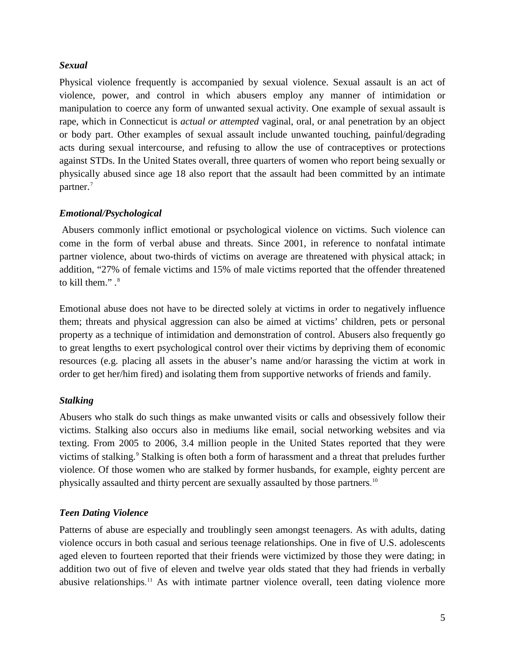## *Sexual*

Physical violence frequently is accompanied by sexual violence. Sexual assault is an act of violence, power, and control in which abusers employ any manner of intimidation or manipulation to coerce any form of unwanted sexual activity. One example of sexual assault is rape, which in Connecticut is *actual or attempted* vaginal, oral, or anal penetration by an object or body part. Other examples of sexual assault include unwanted touching, painful/degrading acts during sexual intercourse, and refusing to allow the use of contraceptives or protections against STDs. In the United States overall, three quarters of women who report being sexually or physically abused since age 18 also report that the assault had been committed by an intimate partner.<sup>[7](#page-22-5)</sup>

## *Emotional/Psychological*

Abusers commonly inflict emotional or psychological violence on victims. Such violence can come in the form of verbal abuse and threats. Since 2001, in reference to nonfatal intimate partner violence, about two-thirds of victims on average are threatened with physical attack; in addition, "27% of female victims and 15% of male victims reported that the offender threatened to kill them." . [8](#page-22-6)

Emotional abuse does not have to be directed solely at victims in order to negatively influence them; threats and physical aggression can also be aimed at victims' children, pets or personal property as a technique of intimidation and demonstration of control. Abusers also frequently go to great lengths to exert psychological control over their victims by depriving them of economic resources (e.g. placing all assets in the abuser's name and/or harassing the victim at work in order to get her/him fired) and isolating them from supportive networks of friends and family.

## *Stalking*

Abusers who stalk do such things as make unwanted visits or calls and obsessively follow their victims. Stalking also occurs also in mediums like email, social networking websites and via texting. From 2005 to 2006, 3.4 million people in the United States reported that they were victims of stalking.<sup>[9](#page-22-7)</sup> Stalking is often both a form of harassment and a threat that preludes further violence. Of those women who are stalked by former husbands, for example, eighty percent are physically assaulted and thirty percent are sexually assaulted by those partners.<sup>[10](#page-22-8)</sup>

## *Teen Dating Violence*

Patterns of abuse are especially and troublingly seen amongst teenagers. As with adults, dating violence occurs in both casual and serious teenage relationships. One in five of U.S. adolescents aged eleven to fourteen reported that their friends were victimized by those they were dating; in addition two out of five of eleven and twelve year olds stated that they had friends in verbally abusive relationships.<sup>[11](#page-22-9)</sup> As with intimate partner violence overall, teen dating violence more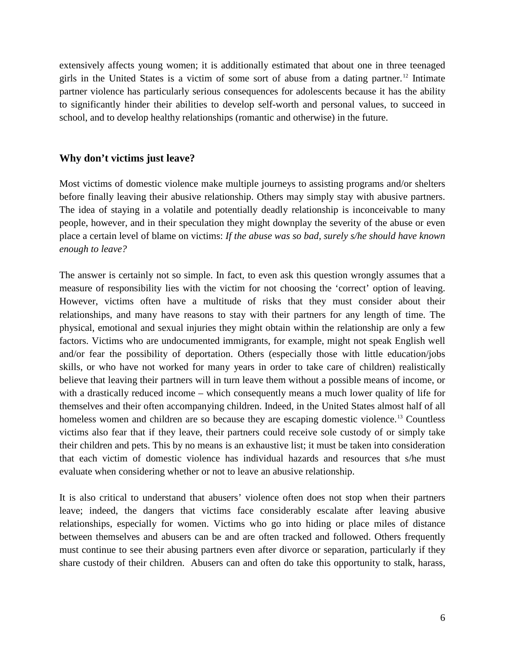extensively affects young women; it is additionally estimated that about one in three teenaged girls in the United States is a victim of some sort of abuse from a dating partner.<sup>[12](#page-22-10)</sup> Intimate partner violence has particularly serious consequences for adolescents because it has the ability to significantly hinder their abilities to develop self-worth and personal values, to succeed in school, and to develop healthy relationships (romantic and otherwise) in the future.

## <span id="page-6-0"></span>**Why don't victims just leave?**

Most victims of domestic violence make multiple journeys to assisting programs and/or shelters before finally leaving their abusive relationship. Others may simply stay with abusive partners. The idea of staying in a volatile and potentially deadly relationship is inconceivable to many people, however, and in their speculation they might downplay the severity of the abuse or even place a certain level of blame on victims: *If the abuse was so bad, surely s/he should have known enough to leave?*

The answer is certainly not so simple. In fact, to even ask this question wrongly assumes that a measure of responsibility lies with the victim for not choosing the 'correct' option of leaving. However, victims often have a multitude of risks that they must consider about their relationships, and many have reasons to stay with their partners for any length of time. The physical, emotional and sexual injuries they might obtain within the relationship are only a few factors. Victims who are undocumented immigrants, for example, might not speak English well and/or fear the possibility of deportation. Others (especially those with little education/jobs skills, or who have not worked for many years in order to take care of children) realistically believe that leaving their partners will in turn leave them without a possible means of income, or with a drastically reduced income – which consequently means a much lower quality of life for themselves and their often accompanying children. Indeed, in the United States almost half of all homeless women and children are so because they are escaping domestic violence.<sup>[13](#page-22-11)</sup> Countless victims also fear that if they leave, their partners could receive sole custody of or simply take their children and pets. This by no means is an exhaustive list; it must be taken into consideration that each victim of domestic violence has individual hazards and resources that s/he must evaluate when considering whether or not to leave an abusive relationship.

It is also critical to understand that abusers' violence often does not stop when their partners leave; indeed, the dangers that victims face considerably escalate after leaving abusive relationships, especially for women. Victims who go into hiding or place miles of distance between themselves and abusers can be and are often tracked and followed. Others frequently must continue to see their abusing partners even after divorce or separation, particularly if they share custody of their children. Abusers can and often do take this opportunity to stalk, harass,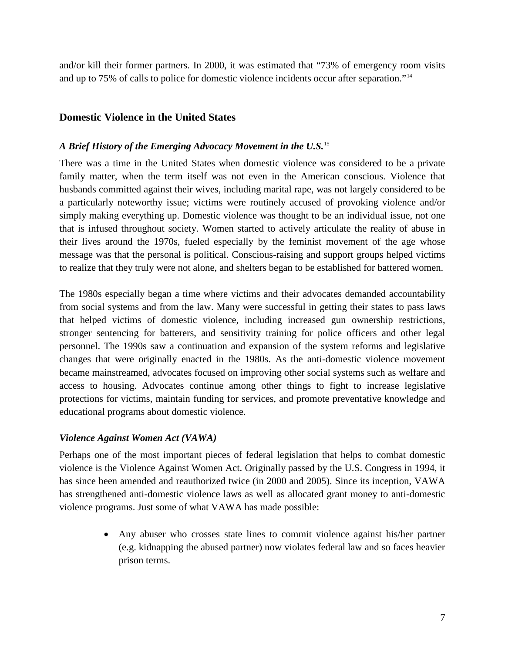and/or kill their former partners. In 2000, it was estimated that "73% of emergency room visits and up to 75% of calls to police for domestic violence incidents occur after separation."[14](#page-22-12)

## <span id="page-7-0"></span>**Domestic Violence in the United States**

## *A Brief History of the Emerging Advocacy Movement in the U.S.*[15](#page-22-13)

There was a time in the United States when domestic violence was considered to be a private family matter, when the term itself was not even in the American conscious. Violence that husbands committed against their wives, including marital rape, was not largely considered to be a particularly noteworthy issue; victims were routinely accused of provoking violence and/or simply making everything up. Domestic violence was thought to be an individual issue, not one that is infused throughout society. Women started to actively articulate the reality of abuse in their lives around the 1970s, fueled especially by the feminist movement of the age whose message was that the personal is political. Conscious-raising and support groups helped victims to realize that they truly were not alone, and shelters began to be established for battered women.

The 1980s especially began a time where victims and their advocates demanded accountability from social systems and from the law. Many were successful in getting their states to pass laws that helped victims of domestic violence, including increased gun ownership restrictions, stronger sentencing for batterers, and sensitivity training for police officers and other legal personnel. The 1990s saw a continuation and expansion of the system reforms and legislative changes that were originally enacted in the 1980s. As the anti-domestic violence movement became mainstreamed, advocates focused on improving other social systems such as welfare and access to housing. Advocates continue among other things to fight to increase legislative protections for victims, maintain funding for services, and promote preventative knowledge and educational programs about domestic violence.

#### *Violence Against Women Act (VAWA)*

Perhaps one of the most important pieces of federal legislation that helps to combat domestic violence is the Violence Against Women Act. Originally passed by the U.S. Congress in 1994, it has since been amended and reauthorized twice (in 2000 and 2005). Since its inception, VAWA has strengthened anti-domestic violence laws as well as allocated grant money to anti-domestic violence programs. Just some of what VAWA has made possible:

> • Any abuser who crosses state lines to commit violence against his/her partner (e.g. kidnapping the abused partner) now violates federal law and so faces heavier prison terms.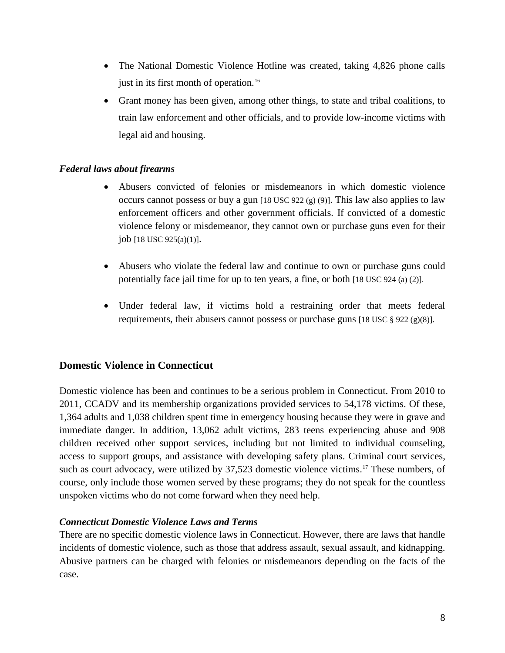- The National Domestic Violence Hotline was created, taking 4,826 phone calls just in its first month of operation. [16](#page-22-14)
- Grant money has been given, among other things, to state and tribal coalitions, to train law enforcement and other officials, and to provide low-income victims with legal aid and housing.

## *Federal laws about firearms*

- Abusers convicted of felonies or misdemeanors in which domestic violence occurs cannot possess or buy a gun  $[18 \text{ USC } 922 \text{ (g)} (9)]$ . This law also applies to law enforcement officers and other government officials. If convicted of a domestic violence felony or misdemeanor, they cannot own or purchase guns even for their job [18 USC 925(a)(1)].
- Abusers who violate the federal law and continue to own or purchase guns could potentially face jail time for up to ten years, a fine, or both [18 USC 924 (a) (2)].
- Under federal law, if victims hold a restraining order that meets federal requirements, their abusers cannot possess or purchase guns [18 USC  $\S 922 \text{ (g)}(8)$ ].

## <span id="page-8-0"></span>**Domestic Violence in Connecticut**

Domestic violence has been and continues to be a serious problem in Connecticut. From 2010 to 2011, CCADV and its membership organizations provided services to 54,178 victims. Of these, 1,364 adults and 1,038 children spent time in emergency housing because they were in grave and immediate danger. In addition, 13,062 adult victims, 283 teens experiencing abuse and 908 children received other support services, including but not limited to individual counseling, access to support groups, and assistance with developing safety plans. Criminal court services, such as court advocacy, were utilized by 37,523 domestic violence victims.<sup>[17](#page-22-15)</sup> These numbers, of course, only include those women served by these programs; they do not speak for the countless unspoken victims who do not come forward when they need help.

#### *Connecticut Domestic Violence Laws and Terms*

There are no specific domestic violence laws in Connecticut. However, there are laws that handle incidents of domestic violence, such as those that address assault, sexual assault, and kidnapping. Abusive partners can be charged with felonies or misdemeanors depending on the facts of the case.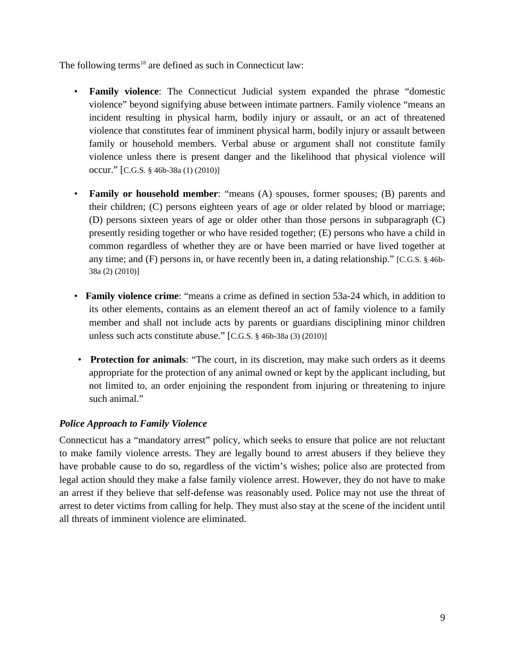The following terms<sup>[18](#page-22-16)</sup> are defined as such in Connecticut law:

- **Family violence**: The Connecticut Judicial system expanded the phrase "domestic violence" beyond signifying abuse between intimate partners. Family violence "means an incident resulting in physical harm, bodily injury or assault, or an act of threatened violence that constitutes fear of imminent physical harm, bodily injury or assault between family or household members. Verbal abuse or argument shall not constitute family violence unless there is present danger and the likelihood that physical violence will occur." [C.G.S. § 46b-38a (1) (2010)]
- **Family or household member**: "means (A) spouses, former spouses; (B) parents and their children; (C) persons eighteen years of age or older related by blood or marriage; (D) persons sixteen years of age or older other than those persons in subparagraph (C) presently residing together or who have resided together; (E) persons who have a child in common regardless of whether they are or have been married or have lived together at any time; and (F) persons in, or have recently been in, a dating relationship." [C.G.S. § 46b-38a (2) (2010)]
- **Family violence crime**: "means a crime as defined in section 53a-24 which, in addition to its other elements, contains as an element thereof an act of family violence to a family member and shall not include acts by parents or guardians disciplining minor children unless such acts constitute abuse." [C.G.S. § 46b-38a (3) (2010)]
- **Protection for animals**: "The court, in its discretion, may make such orders as it deems appropriate for the protection of any animal owned or kept by the applicant including, but not limited to, an order enjoining the respondent from injuring or threatening to injure such animal."

## *Police Approach to Family Violence*

Connecticut has a "mandatory arrest" policy, which seeks to ensure that police are not reluctant to make family violence arrests. They are legally bound to arrest abusers if they believe they have probable cause to do so, regardless of the victim's wishes; police also are protected from legal action should they make a false family violence arrest. However, they do not have to make an arrest if they believe that self-defense was reasonably used. Police may not use the threat of arrest to deter victims from calling for help. They must also stay at the scene of the incident until all threats of imminent violence are eliminated.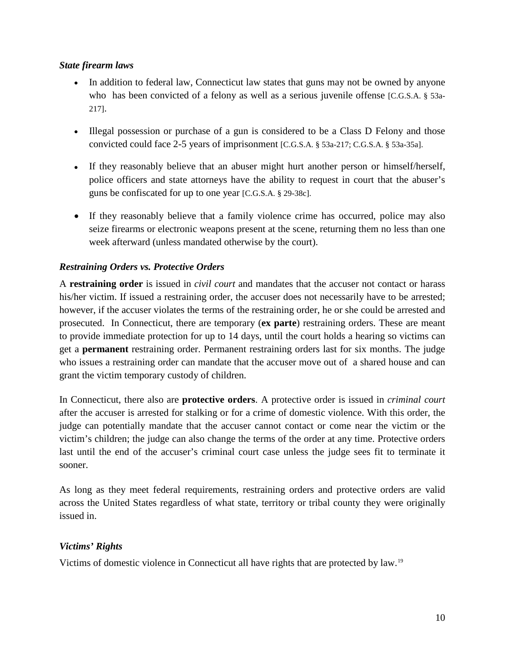## *State firearm laws*

- In addition to federal law, Connecticut law states that guns may not be owned by anyone who has been convicted of a felony as well as a serious juvenile offense [C.G.S.A. § 53a-217].
- Illegal possession or purchase of a gun is considered to be a Class D Felony and those convicted could face 2-5 years of imprisonment [C.G.S.A. § 53a-217; C.G.S.A. § 53a-35a].
- If they reasonably believe that an abuser might hurt another person or himself/herself, police officers and state attorneys have the ability to request in court that the abuser's guns be confiscated for up to one year [C.G.S.A. § 29-38c].
- If they reasonably believe that a family violence crime has occurred, police may also seize firearms or electronic weapons present at the scene, returning them no less than one week afterward (unless mandated otherwise by the court).

## *Restraining Orders vs. Protective Orders*

A **restraining order** is issued in *civil court* and mandates that the accuser not contact or harass his/her victim. If issued a restraining order, the accuser does not necessarily have to be arrested; however, if the accuser violates the terms of the restraining order, he or she could be arrested and prosecuted. In Connecticut, there are temporary (**ex parte**) restraining orders. These are meant to provide immediate protection for up to 14 days, until the court holds a hearing so victims can get a **permanent** restraining order. Permanent restraining orders last for six months. The judge who issues a restraining order can mandate that the accuser move out of a shared house and can grant the victim temporary custody of children.

In Connecticut, there also are **protective orders**. A protective order is issued in *criminal court* after the accuser is arrested for stalking or for a crime of domestic violence. With this order, the judge can potentially mandate that the accuser cannot contact or come near the victim or the victim's children; the judge can also change the terms of the order at any time. Protective orders last until the end of the accuser's criminal court case unless the judge sees fit to terminate it sooner.

As long as they meet federal requirements, restraining orders and protective orders are valid across the United States regardless of what state, territory or tribal county they were originally issued in.

## *Victims' Rights*

Victims of domestic violence in Connecticut all have rights that are protected by law.<sup>[19](#page-22-17)</sup>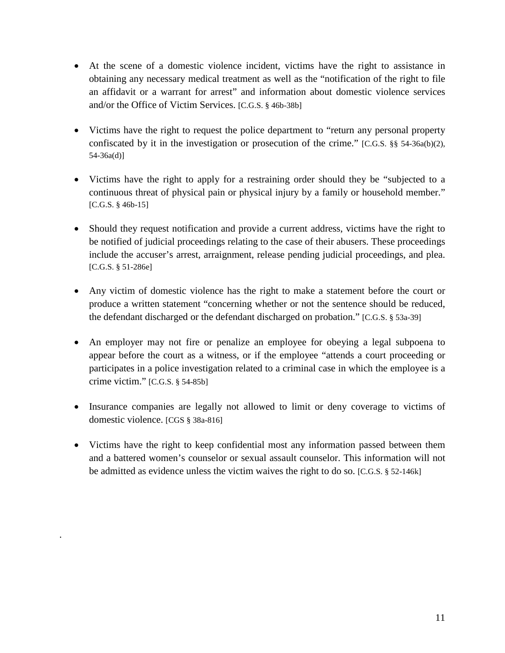- At the scene of a domestic violence incident, victims have the right to assistance in obtaining any necessary medical treatment as well as the "notification of the right to file an affidavit or a warrant for arrest" and information about domestic violence services and/or the Office of Victim Services. [C.G.S. § 46b-38b]
- Victims have the right to request the police department to "return any personal property confiscated by it in the investigation or prosecution of the crime." [C.G.S.  $\S$ § 54-36a(b)(2), 54-36a(d)]
- Victims have the right to apply for a restraining order should they be "subjected to a continuous threat of physical pain or physical injury by a family or household member." [C.G.S. § 46b-15]
- Should they request notification and provide a current address, victims have the right to be notified of judicial proceedings relating to the case of their abusers. These proceedings include the accuser's arrest, arraignment, release pending judicial proceedings, and plea. [C.G.S. § 51-286e]
- Any victim of domestic violence has the right to make a statement before the court or produce a written statement "concerning whether or not the sentence should be reduced, the defendant discharged or the defendant discharged on probation." [C.G.S. § 53a-39]
- An employer may not fire or penalize an employee for obeying a legal subpoena to appear before the court as a witness, or if the employee "attends a court proceeding or participates in a police investigation related to a criminal case in which the employee is a crime victim." [C.G.S. § 54-85b]
- Insurance companies are legally not allowed to limit or deny coverage to victims of domestic violence. [CGS § 38a-816]
- Victims have the right to keep confidential most any information passed between them and a battered women's counselor or sexual assault counselor. This information will not be admitted as evidence unless the victim waives the right to do so. [C.G.S. § 52-146k]

.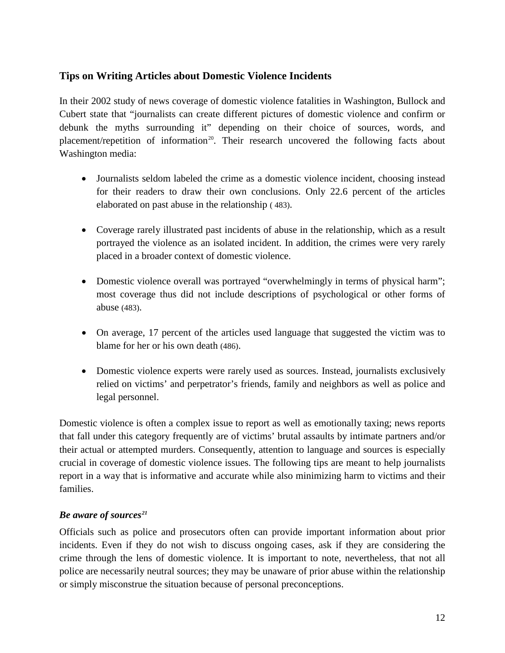## <span id="page-12-0"></span>**Tips on Writing Articles about Domestic Violence Incidents**

In their 2002 study of news coverage of domestic violence fatalities in Washington, Bullock and Cubert state that "journalists can create different pictures of domestic violence and confirm or debunk the myths surrounding it" depending on their choice of sources, words, and placement/repetition of information<sup>[20](#page-22-18)</sup>. Their research uncovered the following facts about Washington media:

- Journalists seldom labeled the crime as a domestic violence incident, choosing instead for their readers to draw their own conclusions. Only 22.6 percent of the articles elaborated on past abuse in the relationship ( 483).
- Coverage rarely illustrated past incidents of abuse in the relationship, which as a result portrayed the violence as an isolated incident. In addition, the crimes were very rarely placed in a broader context of domestic violence.
- Domestic violence overall was portrayed "overwhelmingly in terms of physical harm"; most coverage thus did not include descriptions of psychological or other forms of abuse (483).
- On average, 17 percent of the articles used language that suggested the victim was to blame for her or his own death (486).
- Domestic violence experts were rarely used as sources. Instead, journalists exclusively relied on victims' and perpetrator's friends, family and neighbors as well as police and legal personnel.

Domestic violence is often a complex issue to report as well as emotionally taxing; news reports that fall under this category frequently are of victims' brutal assaults by intimate partners and/or their actual or attempted murders. Consequently, attention to language and sources is especially crucial in coverage of domestic violence issues. The following tips are meant to help journalists report in a way that is informative and accurate while also minimizing harm to victims and their families.

## *Be aware of sources[21](#page-22-19)*

Officials such as police and prosecutors often can provide important information about prior incidents. Even if they do not wish to discuss ongoing cases, ask if they are considering the crime through the lens of domestic violence. It is important to note, nevertheless, that not all police are necessarily neutral sources; they may be unaware of prior abuse within the relationship or simply misconstrue the situation because of personal preconceptions.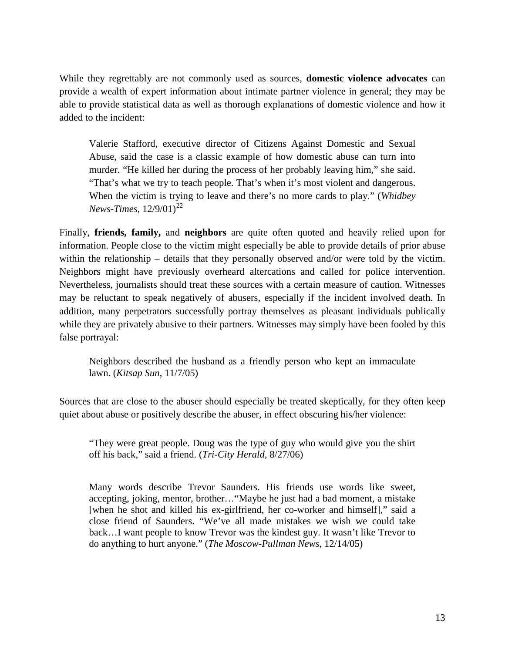While they regrettably are not commonly used as sources, **domestic violence advocates** can provide a wealth of expert information about intimate partner violence in general; they may be able to provide statistical data as well as thorough explanations of domestic violence and how it added to the incident:

Valerie Stafford, executive director of Citizens Against Domestic and Sexual Abuse, said the case is a classic example of how domestic abuse can turn into murder. "He killed her during the process of her probably leaving him," she said. "That's what we try to teach people. That's when it's most violent and dangerous. When the victim is trying to leave and there's no more cards to play." (*Whidbey News-Times*,  $12/9/01$ <sup>[22](#page-22-20)</sup>

Finally, **friends, family,** and **neighbors** are quite often quoted and heavily relied upon for information. People close to the victim might especially be able to provide details of prior abuse within the relationship – details that they personally observed and/or were told by the victim. Neighbors might have previously overheard altercations and called for police intervention. Nevertheless, journalists should treat these sources with a certain measure of caution. Witnesses may be reluctant to speak negatively of abusers, especially if the incident involved death. In addition, many perpetrators successfully portray themselves as pleasant individuals publically while they are privately abusive to their partners. Witnesses may simply have been fooled by this false portrayal:

Neighbors described the husband as a friendly person who kept an immaculate lawn. (*Kitsap Sun*, 11/7/05)

Sources that are close to the abuser should especially be treated skeptically, for they often keep quiet about abuse or positively describe the abuser, in effect obscuring his/her violence:

"They were great people. Doug was the type of guy who would give you the shirt off his back," said a friend. (*Tri-City Herald,* 8/27/06)

Many words describe Trevor Saunders. His friends use words like sweet, accepting, joking, mentor, brother…"Maybe he just had a bad moment, a mistake [when he shot and killed his ex-girlfriend, her co-worker and himself]," said a close friend of Saunders. "We've all made mistakes we wish we could take back…I want people to know Trevor was the kindest guy. It wasn't like Trevor to do anything to hurt anyone." (*The Moscow-Pullman News,* 12/14/05)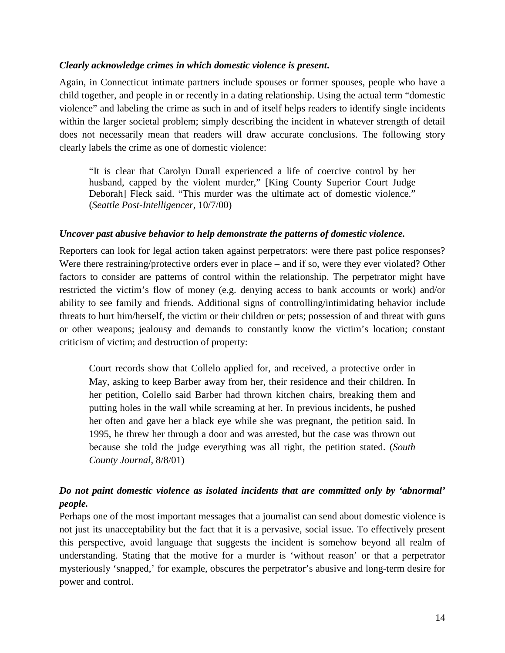#### *Clearly acknowledge crimes in which domestic violence is present***.**

Again, in Connecticut intimate partners include spouses or former spouses, people who have a child together, and people in or recently in a dating relationship. Using the actual term "domestic violence" and labeling the crime as such in and of itself helps readers to identify single incidents within the larger societal problem; simply describing the incident in whatever strength of detail does not necessarily mean that readers will draw accurate conclusions. The following story clearly labels the crime as one of domestic violence:

"It is clear that Carolyn Durall experienced a life of coercive control by her husband, capped by the violent murder," [King County Superior Court Judge Deborah] Fleck said. "This murder was the ultimate act of domestic violence." (*Seattle Post-Intelligencer*, 10/7/00)

#### *Uncover past abusive behavior to help demonstrate the patterns of domestic violence.*

Reporters can look for legal action taken against perpetrators: were there past police responses? Were there restraining/protective orders ever in place – and if so, were they ever violated? Other factors to consider are patterns of control within the relationship. The perpetrator might have restricted the victim's flow of money (e.g. denying access to bank accounts or work) and/or ability to see family and friends. Additional signs of controlling/intimidating behavior include threats to hurt him/herself, the victim or their children or pets; possession of and threat with guns or other weapons; jealousy and demands to constantly know the victim's location; constant criticism of victim; and destruction of property:

Court records show that Collelo applied for, and received, a protective order in May, asking to keep Barber away from her, their residence and their children. In her petition, Colello said Barber had thrown kitchen chairs, breaking them and putting holes in the wall while screaming at her. In previous incidents, he pushed her often and gave her a black eye while she was pregnant, the petition said. In 1995, he threw her through a door and was arrested, but the case was thrown out because she told the judge everything was all right, the petition stated. (*South County Journal*, 8/8/01)

## *Do not paint domestic violence as isolated incidents that are committed only by 'abnormal' people.*

Perhaps one of the most important messages that a journalist can send about domestic violence is not just its unacceptability but the fact that it is a pervasive, social issue. To effectively present this perspective, avoid language that suggests the incident is somehow beyond all realm of understanding. Stating that the motive for a murder is 'without reason' or that a perpetrator mysteriously 'snapped,' for example, obscures the perpetrator's abusive and long-term desire for power and control.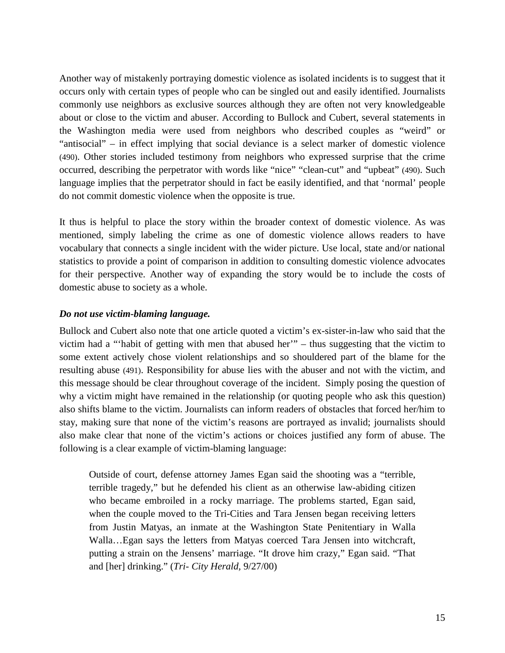Another way of mistakenly portraying domestic violence as isolated incidents is to suggest that it occurs only with certain types of people who can be singled out and easily identified. Journalists commonly use neighbors as exclusive sources although they are often not very knowledgeable about or close to the victim and abuser. According to Bullock and Cubert, several statements in the Washington media were used from neighbors who described couples as "weird" or "antisocial" – in effect implying that social deviance is a select marker of domestic violence (490). Other stories included testimony from neighbors who expressed surprise that the crime occurred, describing the perpetrator with words like "nice" "clean-cut" and "upbeat" (490). Such language implies that the perpetrator should in fact be easily identified, and that 'normal' people do not commit domestic violence when the opposite is true.

It thus is helpful to place the story within the broader context of domestic violence. As was mentioned, simply labeling the crime as one of domestic violence allows readers to have vocabulary that connects a single incident with the wider picture. Use local, state and/or national statistics to provide a point of comparison in addition to consulting domestic violence advocates for their perspective. Another way of expanding the story would be to include the costs of domestic abuse to society as a whole.

## *Do not use victim-blaming language.*

Bullock and Cubert also note that one article quoted a victim's ex-sister-in-law who said that the victim had a "'habit of getting with men that abused her'" – thus suggesting that the victim to some extent actively chose violent relationships and so shouldered part of the blame for the resulting abuse (491). Responsibility for abuse lies with the abuser and not with the victim, and this message should be clear throughout coverage of the incident. Simply posing the question of why a victim might have remained in the relationship (or quoting people who ask this question) also shifts blame to the victim. Journalists can inform readers of obstacles that forced her/him to stay, making sure that none of the victim's reasons are portrayed as invalid; journalists should also make clear that none of the victim's actions or choices justified any form of abuse. The following is a clear example of victim-blaming language:

Outside of court, defense attorney James Egan said the shooting was a "terrible, terrible tragedy," but he defended his client as an otherwise law-abiding citizen who became embroiled in a rocky marriage. The problems started, Egan said, when the couple moved to the Tri-Cities and Tara Jensen began receiving letters from Justin Matyas, an inmate at the Washington State Penitentiary in Walla Walla…Egan says the letters from Matyas coerced Tara Jensen into witchcraft, putting a strain on the Jensens' marriage. "It drove him crazy," Egan said. "That and [her] drinking." (*Tri- City Herald,* 9/27/00)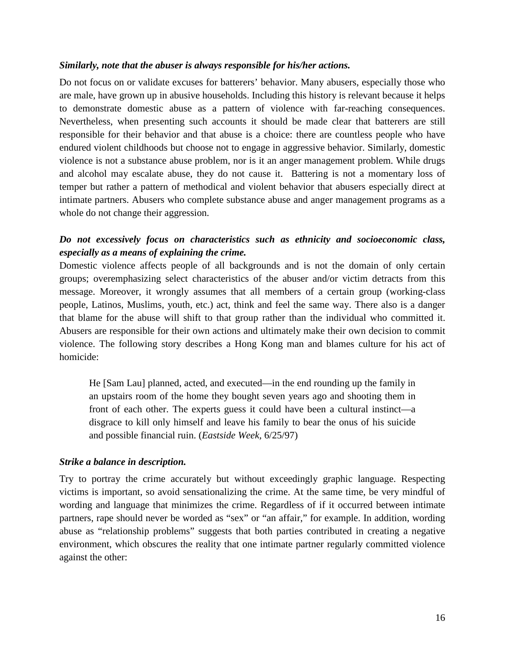#### *Similarly, note that the abuser is always responsible for his/her actions.*

Do not focus on or validate excuses for batterers' behavior. Many abusers, especially those who are male, have grown up in abusive households. Including this history is relevant because it helps to demonstrate domestic abuse as a pattern of violence with far-reaching consequences. Nevertheless, when presenting such accounts it should be made clear that batterers are still responsible for their behavior and that abuse is a choice: there are countless people who have endured violent childhoods but choose not to engage in aggressive behavior. Similarly, domestic violence is not a substance abuse problem, nor is it an anger management problem. While drugs and alcohol may escalate abuse, they do not cause it. Battering is not a momentary loss of temper but rather a pattern of methodical and violent behavior that abusers especially direct at intimate partners. Abusers who complete substance abuse and anger management programs as a whole do not change their aggression.

## *Do not excessively focus on characteristics such as ethnicity and socioeconomic class, especially as a means of explaining the crime.*

Domestic violence affects people of all backgrounds and is not the domain of only certain groups; overemphasizing select characteristics of the abuser and/or victim detracts from this message. Moreover, it wrongly assumes that all members of a certain group (working-class people, Latinos, Muslims, youth, etc.) act, think and feel the same way. There also is a danger that blame for the abuse will shift to that group rather than the individual who committed it. Abusers are responsible for their own actions and ultimately make their own decision to commit violence. The following story describes a Hong Kong man and blames culture for his act of homicide:

He [Sam Lau] planned, acted, and executed—in the end rounding up the family in an upstairs room of the home they bought seven years ago and shooting them in front of each other. The experts guess it could have been a cultural instinct—a disgrace to kill only himself and leave his family to bear the onus of his suicide and possible financial ruin. (*Eastside Week,* 6/25/97)

#### *Strike a balance in description.*

Try to portray the crime accurately but without exceedingly graphic language. Respecting victims is important, so avoid sensationalizing the crime. At the same time, be very mindful of wording and language that minimizes the crime. Regardless of if it occurred between intimate partners, rape should never be worded as "sex" or "an affair," for example. In addition, wording abuse as "relationship problems" suggests that both parties contributed in creating a negative environment, which obscures the reality that one intimate partner regularly committed violence against the other: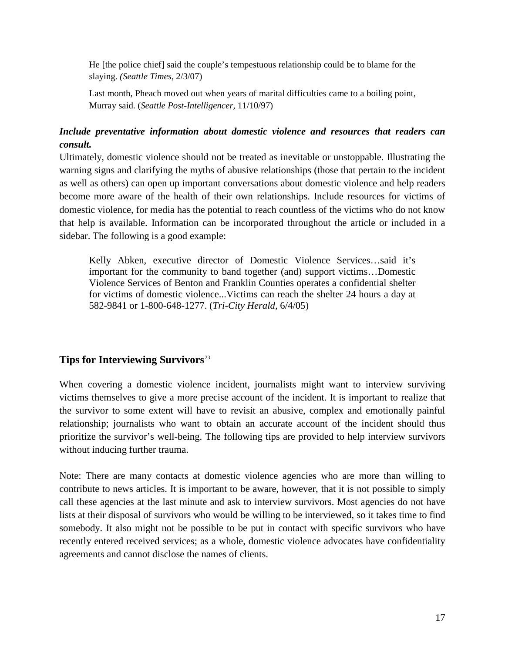He [the police chief] said the couple's tempestuous relationship could be to blame for the slaying. *(Seattle Times,* 2/3/07)

Last month, Pheach moved out when years of marital difficulties came to a boiling point, Murray said. (*Seattle Post-Intelligencer*, 11/10/97)

## *Include preventative information about domestic violence and resources that readers can consult.*

Ultimately, domestic violence should not be treated as inevitable or unstoppable. Illustrating the warning signs and clarifying the myths of abusive relationships (those that pertain to the incident as well as others) can open up important conversations about domestic violence and help readers become more aware of the health of their own relationships. Include resources for victims of domestic violence, for media has the potential to reach countless of the victims who do not know that help is available. Information can be incorporated throughout the article or included in a sidebar. The following is a good example:

Kelly Abken, executive director of Domestic Violence Services…said it's important for the community to band together (and) support victims…Domestic Violence Services of Benton and Franklin Counties operates a confidential shelter for victims of domestic violence...Victims can reach the shelter 24 hours a day at 582-9841 or 1-800-648-1277. (*Tri-City Herald,* 6/4/05)

## <span id="page-17-0"></span>**Tips for Interviewing Survivors**[23](#page-22-21)

When covering a domestic violence incident, journalists might want to interview surviving victims themselves to give a more precise account of the incident. It is important to realize that the survivor to some extent will have to revisit an abusive, complex and emotionally painful relationship; journalists who want to obtain an accurate account of the incident should thus prioritize the survivor's well-being. The following tips are provided to help interview survivors without inducing further trauma.

Note: There are many contacts at domestic violence agencies who are more than willing to contribute to news articles. It is important to be aware, however, that it is not possible to simply call these agencies at the last minute and ask to interview survivors. Most agencies do not have lists at their disposal of survivors who would be willing to be interviewed, so it takes time to find somebody. It also might not be possible to be put in contact with specific survivors who have recently entered received services; as a whole, domestic violence advocates have confidentiality agreements and cannot disclose the names of clients.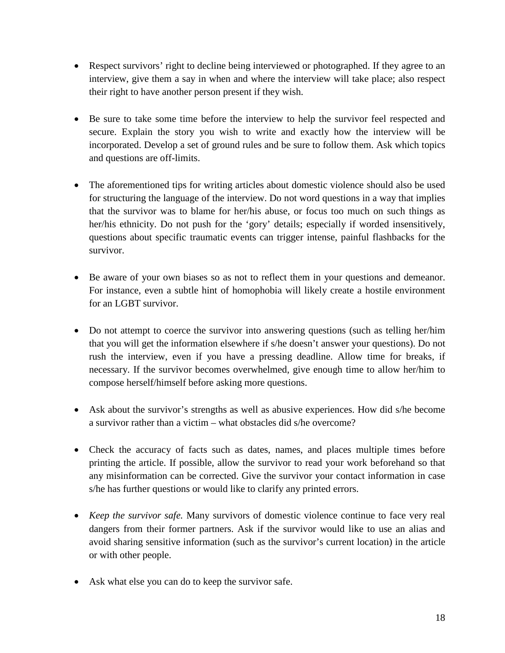- Respect survivors' right to decline being interviewed or photographed. If they agree to an interview, give them a say in when and where the interview will take place; also respect their right to have another person present if they wish.
- Be sure to take some time before the interview to help the survivor feel respected and secure. Explain the story you wish to write and exactly how the interview will be incorporated. Develop a set of ground rules and be sure to follow them. Ask which topics and questions are off-limits.
- The aforementioned tips for writing articles about domestic violence should also be used for structuring the language of the interview. Do not word questions in a way that implies that the survivor was to blame for her/his abuse, or focus too much on such things as her/his ethnicity. Do not push for the 'gory' details; especially if worded insensitively, questions about specific traumatic events can trigger intense, painful flashbacks for the survivor.
- Be aware of your own biases so as not to reflect them in your questions and demeanor. For instance, even a subtle hint of homophobia will likely create a hostile environment for an LGBT survivor.
- Do not attempt to coerce the survivor into answering questions (such as telling her/him that you will get the information elsewhere if s/he doesn't answer your questions). Do not rush the interview, even if you have a pressing deadline. Allow time for breaks, if necessary. If the survivor becomes overwhelmed, give enough time to allow her/him to compose herself/himself before asking more questions.
- Ask about the survivor's strengths as well as abusive experiences. How did s/he become a survivor rather than a victim – what obstacles did s/he overcome?
- Check the accuracy of facts such as dates, names, and places multiple times before printing the article. If possible, allow the survivor to read your work beforehand so that any misinformation can be corrected. Give the survivor your contact information in case s/he has further questions or would like to clarify any printed errors.
- *Keep the survivor safe.* Many survivors of domestic violence continue to face very real dangers from their former partners. Ask if the survivor would like to use an alias and avoid sharing sensitive information (such as the survivor's current location) in the article or with other people.
- Ask what else you can do to keep the survivor safe.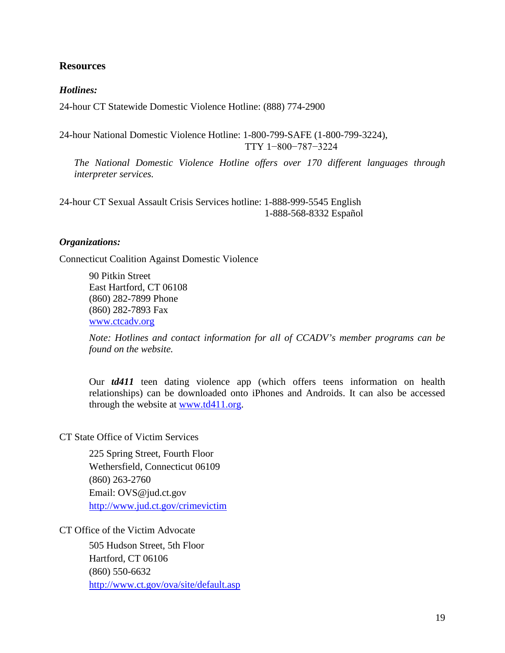## <span id="page-19-0"></span>**Resources**

#### *Hotlines:*

24-hour CT Statewide Domestic Violence Hotline: (888) 774-2900

24-hour National Domestic Violence Hotline: 1-800-799-SAFE (1-800-799-3224), TTY 1−800−787−3224

*The National Domestic Violence Hotline offers over 170 different languages through interpreter services.* 

24-hour CT Sexual Assault Crisis Services hotline: 1-888-999-5545 English 1-888-568-8332 Español

#### *Organizations:*

Connecticut Coalition Against Domestic Violence

90 Pitkin Street East Hartford, CT 06108 (860) 282-7899 Phone (860) 282-7893 Fax www.ctcadv.org

*Note: Hotlines and contact information for all of CCADV's member programs can be found on the website.*

Our *td411* teen dating violence app (which offers teens information on health relationships) can be downloaded onto iPhones and Androids. It can also be accessed through the website at www.td411.org.

#### CT State Office of Victim Services

225 Spring Street, Fourth Floor Wethersfield, Connecticut 06109 (860) 263-2760 Email: OVS@jud.ct.gov <http://www.jud.ct.gov/crimevictim>

#### CT Office of the Victim Advocate

505 Hudson Street, 5th Floor Hartford, CT 06106 (860) 550-6632 <http://www.ct.gov/ova/site/default.asp>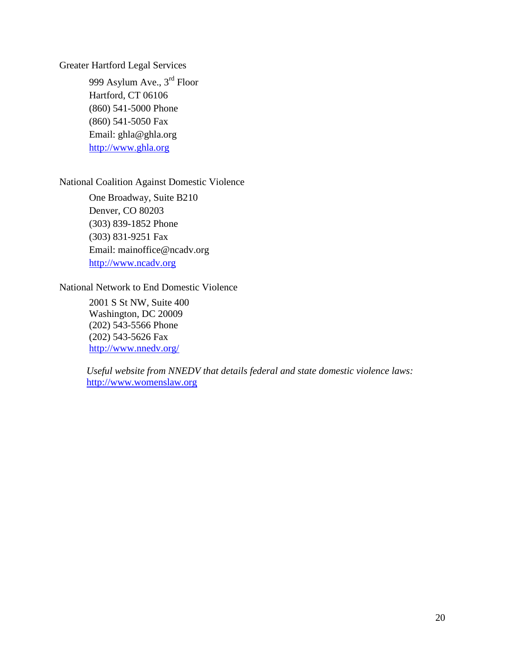Greater Hartford Legal Services

999 Asylum Ave., 3rd Floor Hartford, CT 06106 (860) 541-5000 Phone (860) 541-5050 Fax Email: ghla@ghla.org [http://www.ghla.org](http://www.ghla.org/)

## National Coalition Against Domestic Violence

One Broadway, Suite B210 Denver, CO 80203 (303) 839-1852 Phone (303) 831-9251 Fax Email: mainoffice@ncadv.org [http://www.ncadv.org](http://www.ncadv.org/)

## National Network to End Domestic Violence

2001 S St NW, Suite 400 Washington, DC 20009 (202) 543-5566 Phone (202) 543-5626 Fax <http://www.nnedv.org/>

 *Useful website from NNEDV that details federal and state domestic violence laws:* [http://www.womenslaw.org](http://www.womenslaw.org/)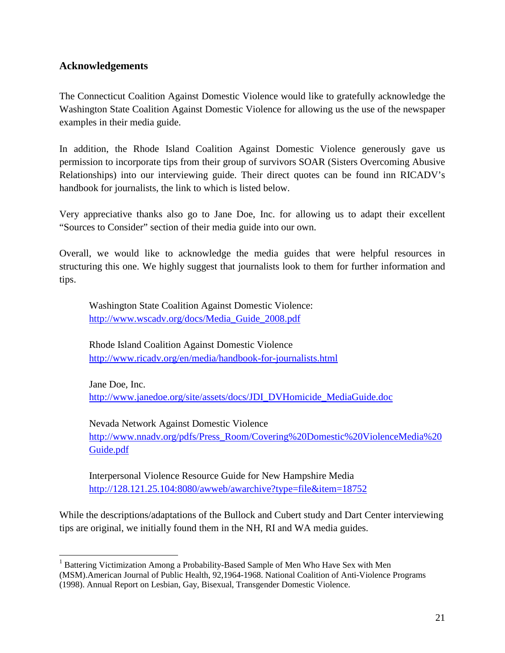## <span id="page-21-0"></span>**Acknowledgements**

The Connecticut Coalition Against Domestic Violence would like to gratefully acknowledge the Washington State Coalition Against Domestic Violence for allowing us the use of the newspaper examples in their media guide.

In addition, the Rhode Island Coalition Against Domestic Violence generously gave us permission to incorporate tips from their group of survivors SOAR (Sisters Overcoming Abusive Relationships) into our interviewing guide. Their direct quotes can be found inn RICADV's handbook for journalists, the link to which is listed below.

Very appreciative thanks also go to Jane Doe, Inc. for allowing us to adapt their excellent "Sources to Consider" section of their media guide into our own.

Overall, we would like to acknowledge the media guides that were helpful resources in structuring this one. We highly suggest that journalists look to them for further information and tips.

 Washington State Coalition Against Domestic Violence: [http://www.wscadv.org/docs/Media\\_Guide\\_2008.pdf](http://www.wscadv.org/docs/Media_Guide_2008.pdf)

Rhode Island Coalition Against Domestic Violence <http://www.ricadv.org/en/media/handbook-for-journalists.html>

Jane Doe, Inc. [http://www.janedoe.org/site/assets/docs/JDI\\_DVHomicide\\_MediaGuide.doc](http://www.janedoe.org/site/assets/docs/JDI_DVHomicide_MediaGuide.doc)

Nevada Network Against Domestic Violence [http://www.nnadv.org/pdfs/Press\\_Room/Covering%20Domestic%20ViolenceMedia%20](http://www.nnadv.org/pdfs/Press_Room/Covering%20Domestic%20ViolenceMedia%20%20%20%20%20Guide.pdf)  [Guide.pdf](http://www.nnadv.org/pdfs/Press_Room/Covering%20Domestic%20ViolenceMedia%20%20%20%20%20Guide.pdf)

Interpersonal Violence Resource Guide for New Hampshire Media <http://128.121.25.104:8080/awweb/awarchive?type=file&item=18752>

While the descriptions/adaptations of the Bullock and Cubert study and Dart Center interviewing tips are original, we initially found them in the NH, RI and WA media guides.

<span id="page-21-1"></span><sup>&</sup>lt;sup>1</sup> Battering Victimization Among a Probability-Based Sample of Men Who Have Sex with Men

<sup>(</sup>MSM).American Journal of Public Health, 92,1964-1968. National Coalition of Anti-Violence Programs (1998). Annual Report on Lesbian, Gay, Bisexual, Transgender Domestic Violence.